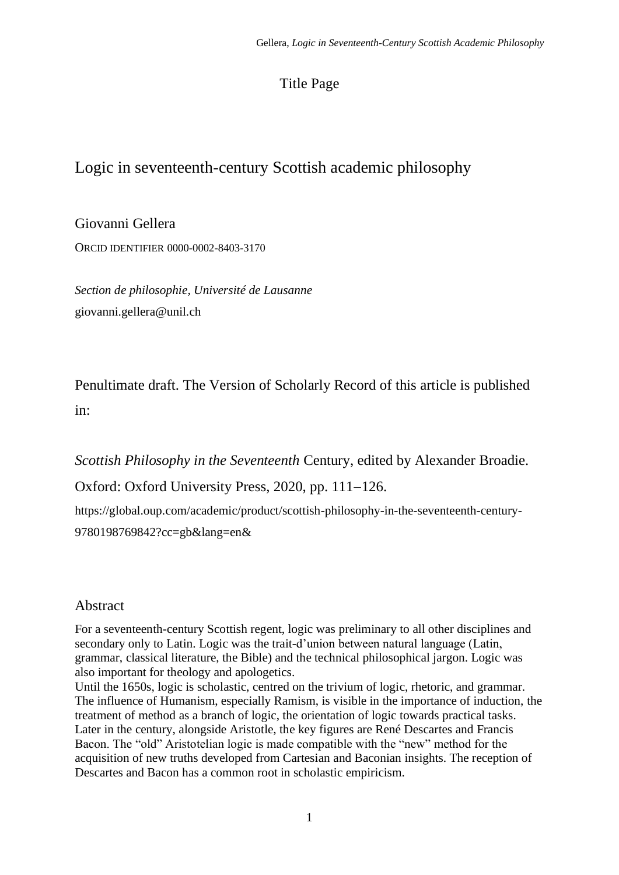# Title Page

# Logic in seventeenth-century Scottish academic philosophy

Giovanni Gellera ORCID IDENTIFIER 0000-0002-8403-3170

*Section de philosophie, Université de Lausanne* giovanni.gellera@unil.ch

Penultimate draft. The Version of Scholarly Record of this article is published in:

*Scottish Philosophy in the Seventeenth* Century, edited by Alexander Broadie.

Oxford: Oxford University Press, 2020, pp. 111−126.

https://global.oup.com/academic/product/scottish-philosophy-in-the-seventeenth-century-9780198769842?cc=gb&lang=en&

## Abstract

For a seventeenth-century Scottish regent, logic was preliminary to all other disciplines and secondary only to Latin. Logic was the trait-d'union between natural language (Latin, grammar, classical literature, the Bible) and the technical philosophical jargon. Logic was also important for theology and apologetics.

Until the 1650s, logic is scholastic, centred on the trivium of logic, rhetoric, and grammar. The influence of Humanism, especially Ramism, is visible in the importance of induction, the treatment of method as a branch of logic, the orientation of logic towards practical tasks. Later in the century, alongside Aristotle, the key figures are René Descartes and Francis Bacon. The "old" Aristotelian logic is made compatible with the "new" method for the acquisition of new truths developed from Cartesian and Baconian insights. The reception of Descartes and Bacon has a common root in scholastic empiricism.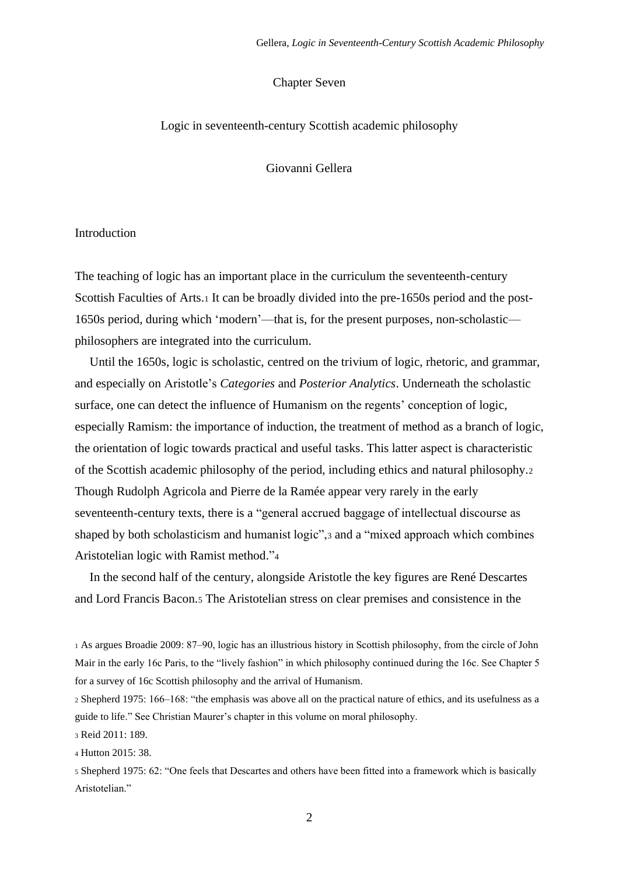## Chapter Seven

#### Logic in seventeenth-century Scottish academic philosophy

Giovanni Gellera

#### Introduction

The teaching of logic has an important place in the curriculum the seventeenth-century Scottish Faculties of Arts.<sup>1</sup> It can be broadly divided into the pre-1650s period and the post-1650s period, during which 'modern'—that is, for the present purposes, non-scholastic philosophers are integrated into the curriculum.

Until the 1650s, logic is scholastic, centred on the trivium of logic, rhetoric, and grammar, and especially on Aristotle's *Categories* and *Posterior Analytics*. Underneath the scholastic surface, one can detect the influence of Humanism on the regents' conception of logic, especially Ramism: the importance of induction, the treatment of method as a branch of logic, the orientation of logic towards practical and useful tasks. This latter aspect is characteristic of the Scottish academic philosophy of the period, including ethics and natural philosophy.<sup>2</sup> Though Rudolph Agricola and Pierre de la Ramée appear very rarely in the early seventeenth-century texts, there is a "general accrued baggage of intellectual discourse as shaped by both scholasticism and humanist logic",<sup>3</sup> and a "mixed approach which combines Aristotelian logic with Ramist method."<sup>4</sup>

In the second half of the century, alongside Aristotle the key figures are René Descartes and Lord Francis Bacon.<sup>5</sup> The Aristotelian stress on clear premises and consistence in the

<sup>1</sup> As argues Broadie 2009: 87‒90, logic has an illustrious history in Scottish philosophy, from the circle of John Mair in the early 16c Paris, to the "lively fashion" in which philosophy continued during the 16c. See Chapter 5 for a survey of 16c Scottish philosophy and the arrival of Humanism.

<sup>2</sup> Shepherd 1975: 166‒168: "the emphasis was above all on the practical nature of ethics, and its usefulness as a guide to life." See Christian Maurer's chapter in this volume on moral philosophy.

<sup>3</sup> Reid 2011: 189.

<sup>4</sup> Hutton 2015: 38.

<sup>5</sup> Shepherd 1975: 62: "One feels that Descartes and others have been fitted into a framework which is basically Aristotelian."

2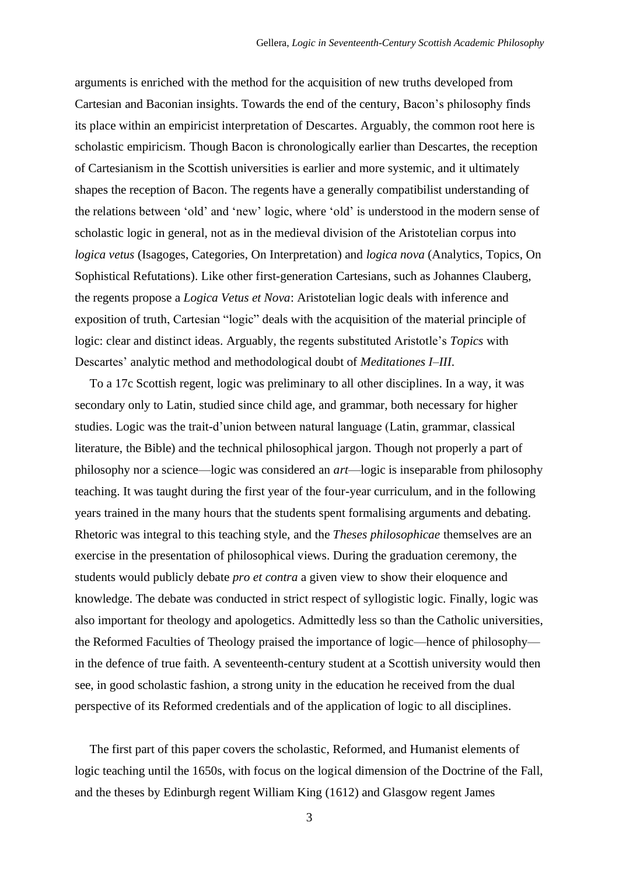arguments is enriched with the method for the acquisition of new truths developed from Cartesian and Baconian insights. Towards the end of the century, Bacon's philosophy finds its place within an empiricist interpretation of Descartes. Arguably, the common root here is scholastic empiricism. Though Bacon is chronologically earlier than Descartes, the reception of Cartesianism in the Scottish universities is earlier and more systemic, and it ultimately shapes the reception of Bacon. The regents have a generally compatibilist understanding of the relations between 'old' and 'new' logic, where 'old' is understood in the modern sense of scholastic logic in general, not as in the medieval division of the Aristotelian corpus into *logica vetus* (Isagoges, Categories, On Interpretation) and *logica nova* (Analytics, Topics, On Sophistical Refutations). Like other first-generation Cartesians, such as Johannes Clauberg, the regents propose a *Logica Vetus et Nova*: Aristotelian logic deals with inference and exposition of truth, Cartesian "logic" deals with the acquisition of the material principle of logic: clear and distinct ideas. Arguably, the regents substituted Aristotle's *Topics* with Descartes' analytic method and methodological doubt of *Meditationes I–III*.

To a 17c Scottish regent, logic was preliminary to all other disciplines. In a way, it was secondary only to Latin, studied since child age, and grammar, both necessary for higher studies. Logic was the trait-d'union between natural language (Latin, grammar, classical literature, the Bible) and the technical philosophical jargon. Though not properly a part of philosophy nor a science—logic was considered an *art*—logic is inseparable from philosophy teaching. It was taught during the first year of the four-year curriculum, and in the following years trained in the many hours that the students spent formalising arguments and debating. Rhetoric was integral to this teaching style, and the *Theses philosophicae* themselves are an exercise in the presentation of philosophical views. During the graduation ceremony, the students would publicly debate *pro et contra* a given view to show their eloquence and knowledge. The debate was conducted in strict respect of syllogistic logic. Finally, logic was also important for theology and apologetics. Admittedly less so than the Catholic universities, the Reformed Faculties of Theology praised the importance of logic—hence of philosophy in the defence of true faith. A seventeenth-century student at a Scottish university would then see, in good scholastic fashion, a strong unity in the education he received from the dual perspective of its Reformed credentials and of the application of logic to all disciplines.

The first part of this paper covers the scholastic, Reformed, and Humanist elements of logic teaching until the 1650s, with focus on the logical dimension of the Doctrine of the Fall, and the theses by Edinburgh regent William King (1612) and Glasgow regent James

3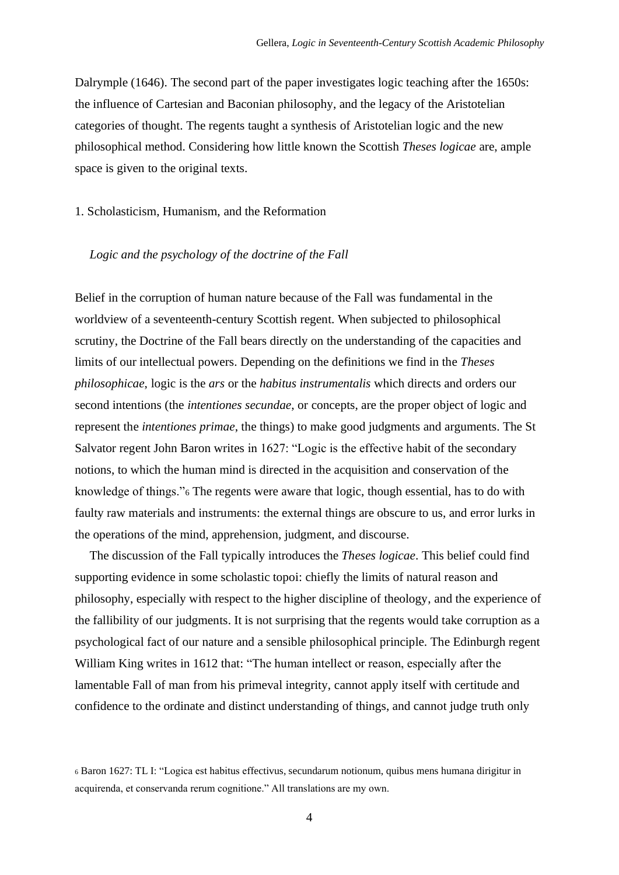Dalrymple (1646). The second part of the paper investigates logic teaching after the 1650s: the influence of Cartesian and Baconian philosophy, and the legacy of the Aristotelian categories of thought. The regents taught a synthesis of Aristotelian logic and the new philosophical method. Considering how little known the Scottish *Theses logicae* are, ample space is given to the original texts.

1. Scholasticism, Humanism, and the Reformation

## *Logic and the psychology of the doctrine of the Fall*

Belief in the corruption of human nature because of the Fall was fundamental in the worldview of a seventeenth-century Scottish regent. When subjected to philosophical scrutiny, the Doctrine of the Fall bears directly on the understanding of the capacities and limits of our intellectual powers. Depending on the definitions we find in the *Theses philosophicae*, logic is the *ars* or the *habitus instrumentalis* which directs and orders our second intentions (the *intentiones secundae*, or concepts, are the proper object of logic and represent the *intentiones primae*, the things) to make good judgments and arguments. The St Salvator regent John Baron writes in 1627: "Logic is the effective habit of the secondary notions, to which the human mind is directed in the acquisition and conservation of the knowledge of things."<sup>6</sup> The regents were aware that logic, though essential, has to do with faulty raw materials and instruments: the external things are obscure to us, and error lurks in the operations of the mind, apprehension, judgment, and discourse.

The discussion of the Fall typically introduces the *Theses logicae*. This belief could find supporting evidence in some scholastic topoi: chiefly the limits of natural reason and philosophy, especially with respect to the higher discipline of theology, and the experience of the fallibility of our judgments. It is not surprising that the regents would take corruption as a psychological fact of our nature and a sensible philosophical principle. The Edinburgh regent William King writes in 1612 that: "The human intellect or reason, especially after the lamentable Fall of man from his primeval integrity, cannot apply itself with certitude and confidence to the ordinate and distinct understanding of things, and cannot judge truth only

<sup>6</sup> Baron 1627: TL I: "Logica est habitus effectivus, secundarum notionum, quibus mens humana dirigitur in acquirenda, et conservanda rerum cognitione." All translations are my own.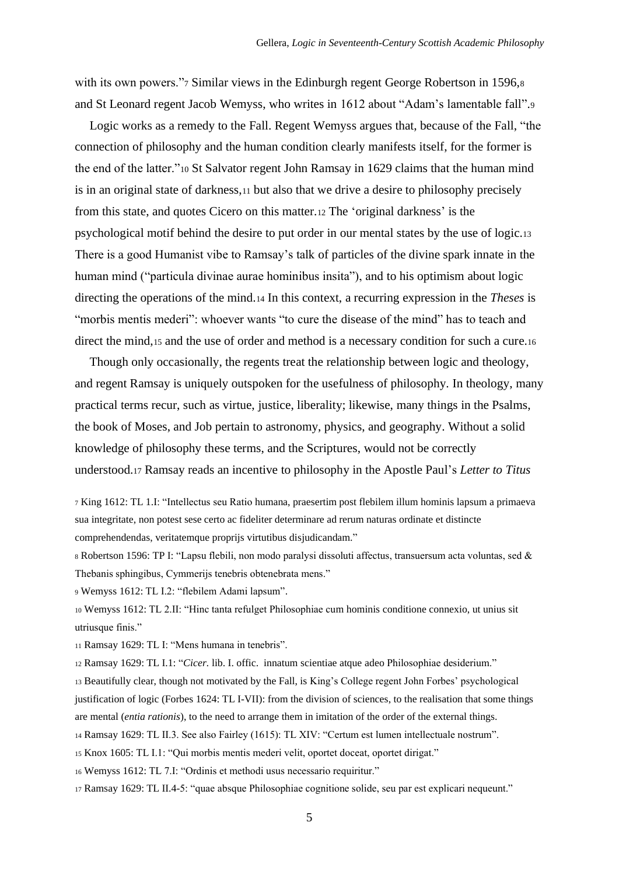with its own powers."7 Similar views in the Edinburgh regent George Robertson in 1596,8 and St Leonard regent Jacob Wemyss, who writes in 1612 about "Adam's lamentable fall".<sup>9</sup>

Logic works as a remedy to the Fall. Regent Wemyss argues that, because of the Fall, "the connection of philosophy and the human condition clearly manifests itself, for the former is the end of the latter."<sup>10</sup> St Salvator regent John Ramsay in 1629 claims that the human mind is in an original state of darkness,<sup>11</sup> but also that we drive a desire to philosophy precisely from this state, and quotes Cicero on this matter.<sup>12</sup> The 'original darkness' is the psychological motif behind the desire to put order in our mental states by the use of logic.<sup>13</sup> There is a good Humanist vibe to Ramsay's talk of particles of the divine spark innate in the human mind ("particula divinae aurae hominibus insita"), and to his optimism about logic directing the operations of the mind.<sup>14</sup> In this context, a recurring expression in the *Theses* is "morbis mentis mederi": whoever wants "to cure the disease of the mind" has to teach and direct the mind,15 and the use of order and method is a necessary condition for such a cure.16

Though only occasionally, the regents treat the relationship between logic and theology, and regent Ramsay is uniquely outspoken for the usefulness of philosophy. In theology, many practical terms recur, such as virtue, justice, liberality; likewise, many things in the Psalms, the book of Moses, and Job pertain to astronomy, physics, and geography. Without a solid knowledge of philosophy these terms, and the Scriptures, would not be correctly understood.<sup>17</sup> Ramsay reads an incentive to philosophy in the Apostle Paul's *Letter to Titus*

<sup>7</sup> King 1612: TL 1.I: "Intellectus seu Ratio humana, praesertim post flebilem illum hominis lapsum a primaeva sua integritate, non potest sese certo ac fideliter determinare ad rerum naturas ordinate et distincte comprehendendas, veritatemque proprijs virtutibus disjudicandam."

<sup>8</sup> Robertson 1596: TP I: "Lapsu flebili, non modo paralysi dissoluti affectus, transuersum acta voluntas, sed & Thebanis sphingibus, Cymmerijs tenebris obtenebrata mens."

<sup>9</sup> Wemyss 1612: TL I.2: "flebilem Adami lapsum".

<sup>10</sup> Wemyss 1612: TL 2.II: "Hinc tanta refulget Philosophiae cum hominis conditione connexio, ut unius sit utriusque finis."

<sup>11</sup> Ramsay 1629: TL I: "Mens humana in tenebris".

<sup>12</sup> Ramsay 1629: TL I.1: "*Cicer.* lib. I. offic. innatum scientiae atque adeo Philosophiae desiderium."

<sup>13</sup> Beautifully clear, though not motivated by the Fall, is King's College regent John Forbes' psychological justification of logic (Forbes 1624: TL I-VII): from the division of sciences, to the realisation that some things are mental (*entia rationis*), to the need to arrange them in imitation of the order of the external things.

- <sup>14</sup> Ramsay 1629: TL II.3. See also Fairley (1615): TL XIV: "Certum est lumen intellectuale nostrum".
- <sup>15</sup> Knox 1605: TL I.1: "Qui morbis mentis mederi velit, oportet doceat, oportet dirigat."

<sup>16</sup> Wemyss 1612: TL 7.I: "Ordinis et methodi usus necessario requiritur."

<sup>17</sup> Ramsay 1629: TL II.4-5: "quae absque Philosophiae cognitione solide, seu par est explicari nequeunt."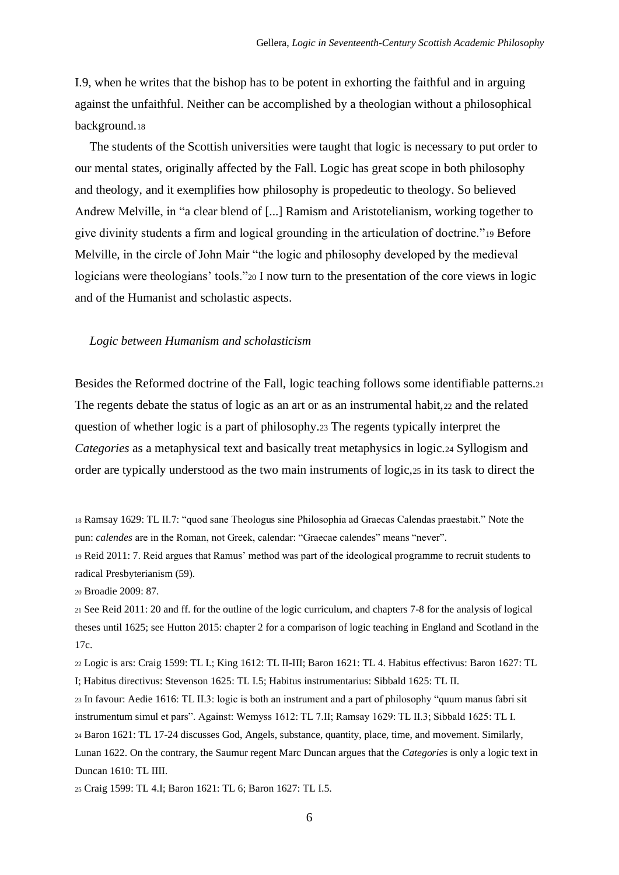I.9, when he writes that the bishop has to be potent in exhorting the faithful and in arguing against the unfaithful. Neither can be accomplished by a theologian without a philosophical background.<sup>18</sup>

The students of the Scottish universities were taught that logic is necessary to put order to our mental states, originally affected by the Fall. Logic has great scope in both philosophy and theology, and it exemplifies how philosophy is propedeutic to theology. So believed Andrew Melville, in "a clear blend of [...] Ramism and Aristotelianism, working together to give divinity students a firm and logical grounding in the articulation of doctrine."<sup>19</sup> Before Melville, in the circle of John Mair "the logic and philosophy developed by the medieval logicians were theologians' tools."<sup>20</sup> I now turn to the presentation of the core views in logic and of the Humanist and scholastic aspects.

#### *Logic between Humanism and scholasticism*

Besides the Reformed doctrine of the Fall, logic teaching follows some identifiable patterns.<sup>21</sup> The regents debate the status of logic as an art or as an instrumental habit,  $22$  and the related question of whether logic is a part of philosophy.<sup>23</sup> The regents typically interpret the *Categories* as a metaphysical text and basically treat metaphysics in logic.<sup>24</sup> Syllogism and order are typically understood as the two main instruments of logic,<sup>25</sup> in its task to direct the

<sup>20</sup> Broadie 2009: 87.

<sup>22</sup> Logic is ars: Craig 1599: TL I.; King 1612: TL II-III; Baron 1621: TL 4. Habitus effectivus: Baron 1627: TL I; Habitus directivus: Stevenson 1625: TL I.5; Habitus instrumentarius: Sibbald 1625: TL II.

<sup>23</sup> In favour: Aedie 1616: TL II.3: logic is both an instrument and a part of philosophy "quum manus fabri sit instrumentum simul et pars". Against: Wemyss 1612: TL 7.II; Ramsay 1629: TL II.3; Sibbald 1625: TL I.

<sup>24</sup> Baron 1621: TL 17-24 discusses God, Angels, substance, quantity, place, time, and movement. Similarly,

Lunan 1622. On the contrary, the Saumur regent Marc Duncan argues that the *Categories* is only a logic text in Duncan 1610: TL IIII.

<sup>25</sup> Craig 1599: TL 4.I; Baron 1621: TL 6; Baron 1627: TL I.5.

<sup>18</sup> Ramsay 1629: TL II.7: "quod sane Theologus sine Philosophia ad Graecas Calendas praestabit." Note the pun: *calendes* are in the Roman, not Greek, calendar: "Graecae calendes" means "never".

<sup>19</sup> Reid 2011: 7. Reid argues that Ramus' method was part of the ideological programme to recruit students to radical Presbyterianism (59).

<sup>21</sup> See Reid 2011: 20 and ff. for the outline of the logic curriculum, and chapters 7-8 for the analysis of logical theses until 1625; see Hutton 2015: chapter 2 for a comparison of logic teaching in England and Scotland in the 17c.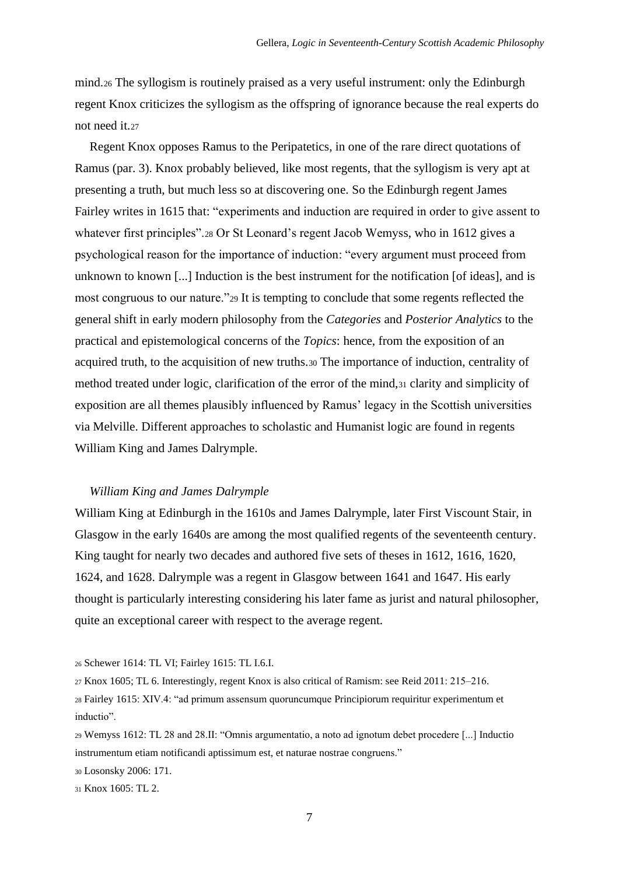mind.<sup>26</sup> The syllogism is routinely praised as a very useful instrument: only the Edinburgh regent Knox criticizes the syllogism as the offspring of ignorance because the real experts do not need it.<sup>27</sup>

Regent Knox opposes Ramus to the Peripatetics, in one of the rare direct quotations of Ramus (par. 3). Knox probably believed, like most regents, that the syllogism is very apt at presenting a truth, but much less so at discovering one. So the Edinburgh regent James Fairley writes in 1615 that: "experiments and induction are required in order to give assent to whatever first principles".<sup>28</sup> Or St Leonard's regent Jacob Wemyss, who in 1612 gives a psychological reason for the importance of induction: "every argument must proceed from unknown to known [...] Induction is the best instrument for the notification [of ideas], and is most congruous to our nature."<sup>29</sup> It is tempting to conclude that some regents reflected the general shift in early modern philosophy from the *Categories* and *Posterior Analytics* to the practical and epistemological concerns of the *Topics*: hence, from the exposition of an acquired truth, to the acquisition of new truths.<sup>30</sup> The importance of induction, centrality of method treated under logic, clarification of the error of the mind,<sup>31</sup> clarity and simplicity of exposition are all themes plausibly influenced by Ramus' legacy in the Scottish universities via Melville. Different approaches to scholastic and Humanist logic are found in regents William King and James Dalrymple.

#### *William King and James Dalrymple*

William King at Edinburgh in the 1610s and James Dalrymple, later First Viscount Stair, in Glasgow in the early 1640s are among the most qualified regents of the seventeenth century. King taught for nearly two decades and authored five sets of theses in 1612, 1616, 1620, 1624, and 1628. Dalrymple was a regent in Glasgow between 1641 and 1647. His early thought is particularly interesting considering his later fame as jurist and natural philosopher, quite an exceptional career with respect to the average regent.

<sup>26</sup> Schewer 1614: TL VI; Fairley 1615: TL I.6.I.

<sup>27</sup> Knox 1605; TL 6. Interestingly, regent Knox is also critical of Ramism: see Reid 2011: 215‒216.

<sup>28</sup> Fairley 1615: XIV.4: "ad primum assensum quoruncumque Principiorum requiritur experimentum et inductio".

<sup>29</sup> Wemyss 1612: TL 28 and 28.II: "Omnis argumentatio, a noto ad ignotum debet procedere [...] Inductio instrumentum etiam notificandi aptissimum est, et naturae nostrae congruens."

<sup>30</sup> Losonsky 2006: 171.

<sup>31</sup> Knox 1605: TL 2.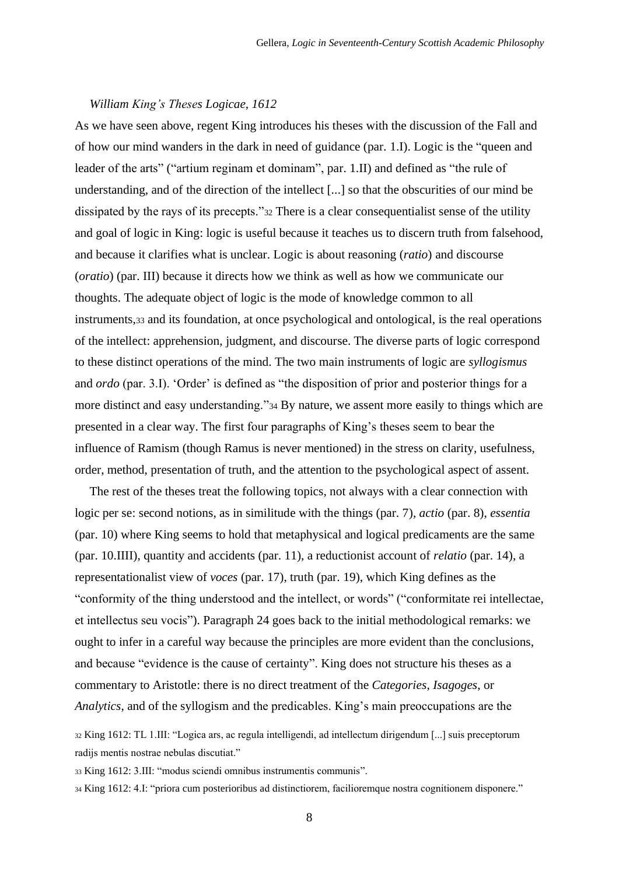#### *William King's Theses Logicae, 1612*

As we have seen above, regent King introduces his theses with the discussion of the Fall and of how our mind wanders in the dark in need of guidance (par. 1.I). Logic is the "queen and leader of the arts" ("artium reginam et dominam", par. 1.II) and defined as "the rule of understanding, and of the direction of the intellect [...] so that the obscurities of our mind be dissipated by the rays of its precepts."<sup>32</sup> There is a clear consequentialist sense of the utility and goal of logic in King: logic is useful because it teaches us to discern truth from falsehood, and because it clarifies what is unclear. Logic is about reasoning (*ratio*) and discourse (*oratio*) (par. III) because it directs how we think as well as how we communicate our thoughts. The adequate object of logic is the mode of knowledge common to all instruments,<sup>33</sup> and its foundation, at once psychological and ontological, is the real operations of the intellect: apprehension, judgment, and discourse. The diverse parts of logic correspond to these distinct operations of the mind. The two main instruments of logic are *syllogismus* and *ordo* (par. 3.I). 'Order' is defined as "the disposition of prior and posterior things for a more distinct and easy understanding."<sup>34</sup> By nature, we assent more easily to things which are presented in a clear way. The first four paragraphs of King's theses seem to bear the influence of Ramism (though Ramus is never mentioned) in the stress on clarity, usefulness, order, method, presentation of truth, and the attention to the psychological aspect of assent.

The rest of the theses treat the following topics, not always with a clear connection with logic per se: second notions, as in similitude with the things (par. 7), *actio* (par. 8), *essentia* (par. 10) where King seems to hold that metaphysical and logical predicaments are the same (par. 10.IIII), quantity and accidents (par. 11), a reductionist account of *relatio* (par. 14), a representationalist view of *voces* (par. 17), truth (par. 19), which King defines as the "conformity of the thing understood and the intellect, or words" ("conformitate rei intellectae, et intellectus seu vocis"). Paragraph 24 goes back to the initial methodological remarks: we ought to infer in a careful way because the principles are more evident than the conclusions, and because "evidence is the cause of certainty". King does not structure his theses as a commentary to Aristotle: there is no direct treatment of the *Categories*, *Isagoges*, or *Analytics*, and of the syllogism and the predicables. King's main preoccupations are the

<sup>32</sup> King 1612: TL 1.III: "Logica ars, ac regula intelligendi, ad intellectum dirigendum [...] suis preceptorum radijs mentis nostrae nebulas discutiat."

<sup>33</sup> King 1612: 3.III: "modus sciendi omnibus instrumentis communis".

<sup>34</sup> King 1612: 4.I: "priora cum posterioribus ad distinctiorem, facilioremque nostra cognitionem disponere."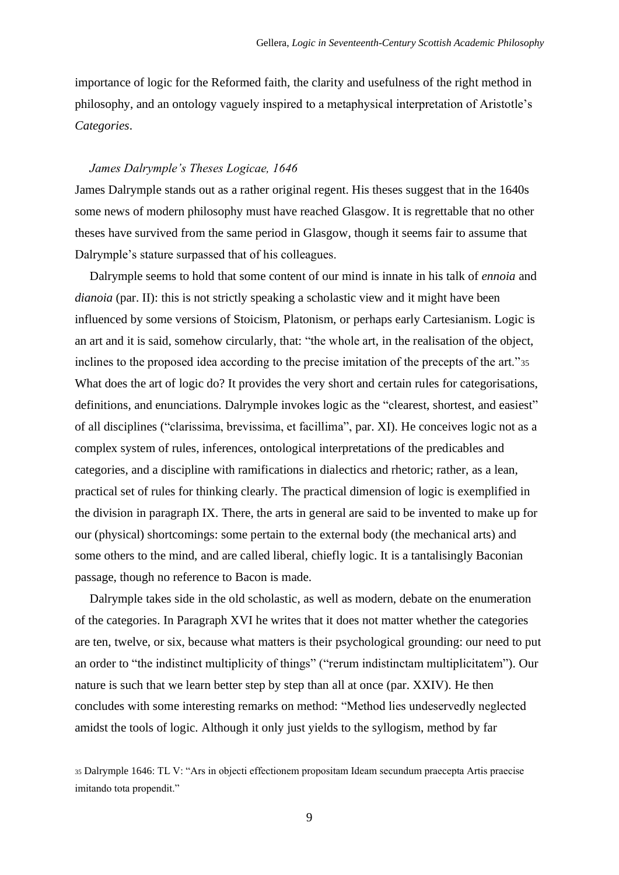importance of logic for the Reformed faith, the clarity and usefulness of the right method in philosophy, and an ontology vaguely inspired to a metaphysical interpretation of Aristotle's *Categories*.

#### *James Dalrymple's Theses Logicae, 1646*

James Dalrymple stands out as a rather original regent. His theses suggest that in the 1640s some news of modern philosophy must have reached Glasgow. It is regrettable that no other theses have survived from the same period in Glasgow, though it seems fair to assume that Dalrymple's stature surpassed that of his colleagues.

Dalrymple seems to hold that some content of our mind is innate in his talk of *ennoia* and *dianoia* (par. II): this is not strictly speaking a scholastic view and it might have been influenced by some versions of Stoicism, Platonism, or perhaps early Cartesianism. Logic is an art and it is said, somehow circularly, that: "the whole art, in the realisation of the object, inclines to the proposed idea according to the precise imitation of the precepts of the art."<sup>35</sup> What does the art of logic do? It provides the very short and certain rules for categorisations, definitions, and enunciations. Dalrymple invokes logic as the "clearest, shortest, and easiest" of all disciplines ("clarissima, brevissima, et facillima", par. XI). He conceives logic not as a complex system of rules, inferences, ontological interpretations of the predicables and categories, and a discipline with ramifications in dialectics and rhetoric; rather, as a lean, practical set of rules for thinking clearly. The practical dimension of logic is exemplified in the division in paragraph IX. There, the arts in general are said to be invented to make up for our (physical) shortcomings: some pertain to the external body (the mechanical arts) and some others to the mind, and are called liberal, chiefly logic. It is a tantalisingly Baconian passage, though no reference to Bacon is made.

Dalrymple takes side in the old scholastic, as well as modern, debate on the enumeration of the categories. In Paragraph XVI he writes that it does not matter whether the categories are ten, twelve, or six, because what matters is their psychological grounding: our need to put an order to "the indistinct multiplicity of things" ("rerum indistinctam multiplicitatem"). Our nature is such that we learn better step by step than all at once (par. XXIV). He then concludes with some interesting remarks on method: "Method lies undeservedly neglected amidst the tools of logic. Although it only just yields to the syllogism, method by far

<sup>35</sup> Dalrymple 1646: TL V: "Ars in objecti effectionem propositam Ideam secundum praecepta Artis praecise imitando tota propendit."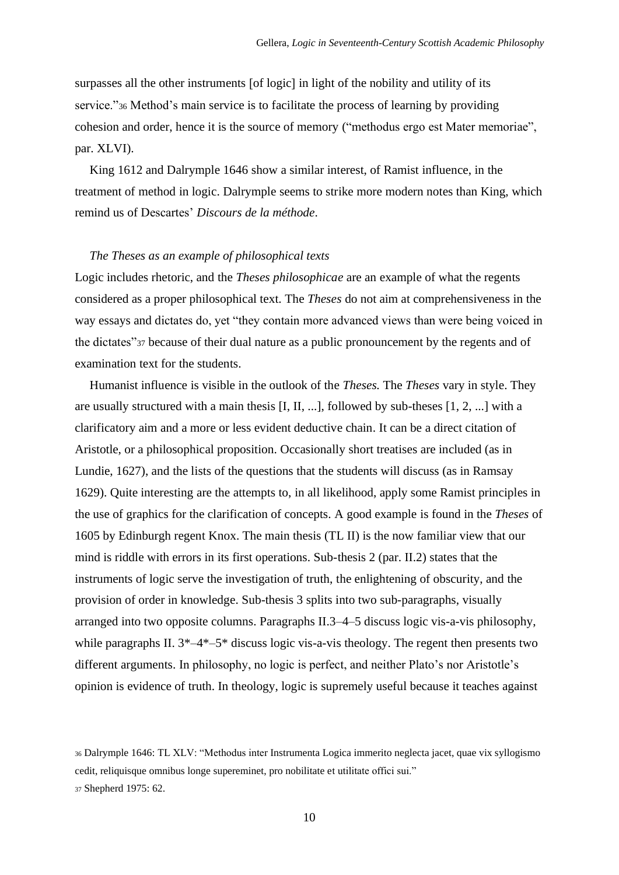surpasses all the other instruments [of logic] in light of the nobility and utility of its service."<sup>36</sup> Method's main service is to facilitate the process of learning by providing cohesion and order, hence it is the source of memory ("methodus ergo est Mater memoriae", par. XLVI).

King 1612 and Dalrymple 1646 show a similar interest, of Ramist influence, in the treatment of method in logic. Dalrymple seems to strike more modern notes than King, which remind us of Descartes' *Discours de la méthode*.

## *The Theses as an example of philosophical texts*

Logic includes rhetoric, and the *Theses philosophicae* are an example of what the regents considered as a proper philosophical text. The *Theses* do not aim at comprehensiveness in the way essays and dictates do, yet "they contain more advanced views than were being voiced in the dictates"<sup>37</sup> because of their dual nature as a public pronouncement by the regents and of examination text for the students.

Humanist influence is visible in the outlook of the *Theses.* The *Theses* vary in style. They are usually structured with a main thesis [I, II, ...], followed by sub-theses [1, 2, ...] with a clarificatory aim and a more or less evident deductive chain. It can be a direct citation of Aristotle, or a philosophical proposition. Occasionally short treatises are included (as in Lundie, 1627), and the lists of the questions that the students will discuss (as in Ramsay 1629). Quite interesting are the attempts to, in all likelihood, apply some Ramist principles in the use of graphics for the clarification of concepts. A good example is found in the *Theses* of 1605 by Edinburgh regent Knox. The main thesis (TL II) is the now familiar view that our mind is riddle with errors in its first operations. Sub-thesis 2 (par. II.2) states that the instruments of logic serve the investigation of truth, the enlightening of obscurity, and the provision of order in knowledge. Sub-thesis 3 splits into two sub-paragraphs, visually arranged into two opposite columns. Paragraphs II.3–4–5 discuss logic vis-a-vis philosophy, while paragraphs II.  $3^*$ -4<sup>\*</sup>-5<sup>\*</sup> discuss logic vis-a-vis theology. The regent then presents two different arguments. In philosophy, no logic is perfect, and neither Plato's nor Aristotle's opinion is evidence of truth. In theology, logic is supremely useful because it teaches against

<sup>36</sup> Dalrymple 1646: TL XLV: "Methodus inter Instrumenta Logica immerito neglecta jacet, quae vix syllogismo cedit, reliquisque omnibus longe supereminet, pro nobilitate et utilitate offici sui." <sup>37</sup> Shepherd 1975: 62.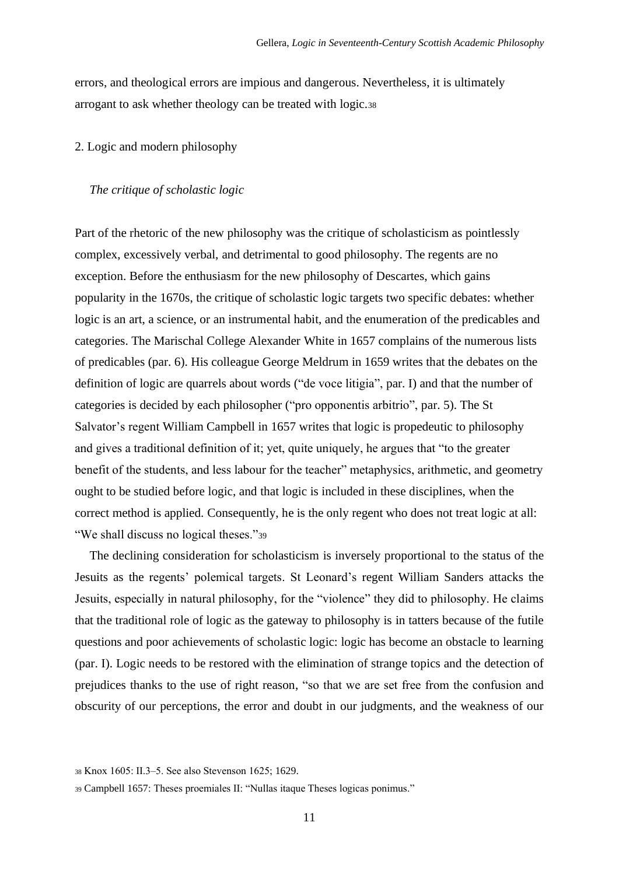errors, and theological errors are impious and dangerous. Nevertheless, it is ultimately arrogant to ask whether theology can be treated with logic.<sup>38</sup>

## 2. Logic and modern philosophy

## *The critique of scholastic logic*

Part of the rhetoric of the new philosophy was the critique of scholasticism as pointlessly complex, excessively verbal, and detrimental to good philosophy. The regents are no exception. Before the enthusiasm for the new philosophy of Descartes, which gains popularity in the 1670s, the critique of scholastic logic targets two specific debates: whether logic is an art, a science, or an instrumental habit, and the enumeration of the predicables and categories. The Marischal College Alexander White in 1657 complains of the numerous lists of predicables (par. 6). His colleague George Meldrum in 1659 writes that the debates on the definition of logic are quarrels about words ("de voce litigia", par. I) and that the number of categories is decided by each philosopher ("pro opponentis arbitrio", par. 5). The St Salvator's regent William Campbell in 1657 writes that logic is propedeutic to philosophy and gives a traditional definition of it; yet, quite uniquely, he argues that "to the greater benefit of the students, and less labour for the teacher" metaphysics, arithmetic, and geometry ought to be studied before logic, and that logic is included in these disciplines, when the correct method is applied. Consequently, he is the only regent who does not treat logic at all: "We shall discuss no logical theses."39

The declining consideration for scholasticism is inversely proportional to the status of the Jesuits as the regents' polemical targets. St Leonard's regent William Sanders attacks the Jesuits, especially in natural philosophy, for the "violence" they did to philosophy. He claims that the traditional role of logic as the gateway to philosophy is in tatters because of the futile questions and poor achievements of scholastic logic: logic has become an obstacle to learning (par. I). Logic needs to be restored with the elimination of strange topics and the detection of prejudices thanks to the use of right reason, "so that we are set free from the confusion and obscurity of our perceptions, the error and doubt in our judgments, and the weakness of our

<sup>38</sup> Knox 1605: II.3‒5. See also Stevenson 1625; 1629.

<sup>39</sup> Campbell 1657: Theses proemiales II: "Nullas itaque Theses logicas ponimus."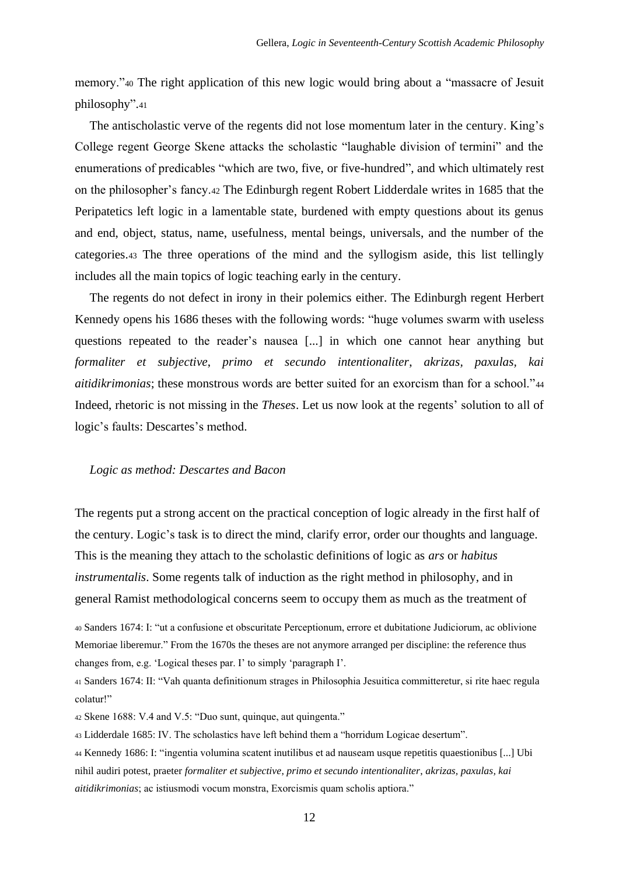memory."<sup>40</sup> The right application of this new logic would bring about a "massacre of Jesuit philosophy".<sup>41</sup>

The antischolastic verve of the regents did not lose momentum later in the century. King's College regent George Skene attacks the scholastic "laughable division of termini" and the enumerations of predicables "which are two, five, or five-hundred", and which ultimately rest on the philosopher's fancy.<sup>42</sup> The Edinburgh regent Robert Lidderdale writes in 1685 that the Peripatetics left logic in a lamentable state, burdened with empty questions about its genus and end, object, status, name, usefulness, mental beings, universals, and the number of the categories.<sup>43</sup> The three operations of the mind and the syllogism aside, this list tellingly includes all the main topics of logic teaching early in the century.

The regents do not defect in irony in their polemics either. The Edinburgh regent Herbert Kennedy opens his 1686 theses with the following words: "huge volumes swarm with useless questions repeated to the reader's nausea [...] in which one cannot hear anything but *formaliter et subjective*, *primo et secundo intentionaliter*, *akrizas, paxulas, kai aitidikrimonias*; these monstrous words are better suited for an exorcism than for a school."<sup>44</sup> Indeed, rhetoric is not missing in the *Theses*. Let us now look at the regents' solution to all of logic's faults: Descartes's method.

#### *Logic as method: Descartes and Bacon*

The regents put a strong accent on the practical conception of logic already in the first half of the century. Logic's task is to direct the mind, clarify error, order our thoughts and language. This is the meaning they attach to the scholastic definitions of logic as *ars* or *habitus instrumentalis*. Some regents talk of induction as the right method in philosophy, and in general Ramist methodological concerns seem to occupy them as much as the treatment of

<sup>40</sup> Sanders 1674: I: "ut a confusione et obscuritate Perceptionum, errore et dubitatione Judiciorum, ac oblivione Memoriae liberemur." From the 1670s the theses are not anymore arranged per discipline: the reference thus changes from, e.g. 'Logical theses par. I' to simply 'paragraph I'.

<sup>41</sup> Sanders 1674: II: "Vah quanta definitionum strages in Philosophia Jesuitica committeretur, si rite haec regula colatur!"

<sup>42</sup> Skene 1688: V.4 and V.5: "Duo sunt, quinque, aut quingenta."

<sup>43</sup> Lidderdale 1685: IV. The scholastics have left behind them a "horridum Logicae desertum".

<sup>44</sup> Kennedy 1686: I: "ingentia volumina scatent inutilibus et ad nauseam usque repetitis quaestionibus [...] Ubi nihil audiri potest, praeter *formaliter et subjective*, *primo et secundo intentionaliter*, *akrizas, paxulas, kai aitidikrimonias*; ac istiusmodi vocum monstra, Exorcismis quam scholis aptiora."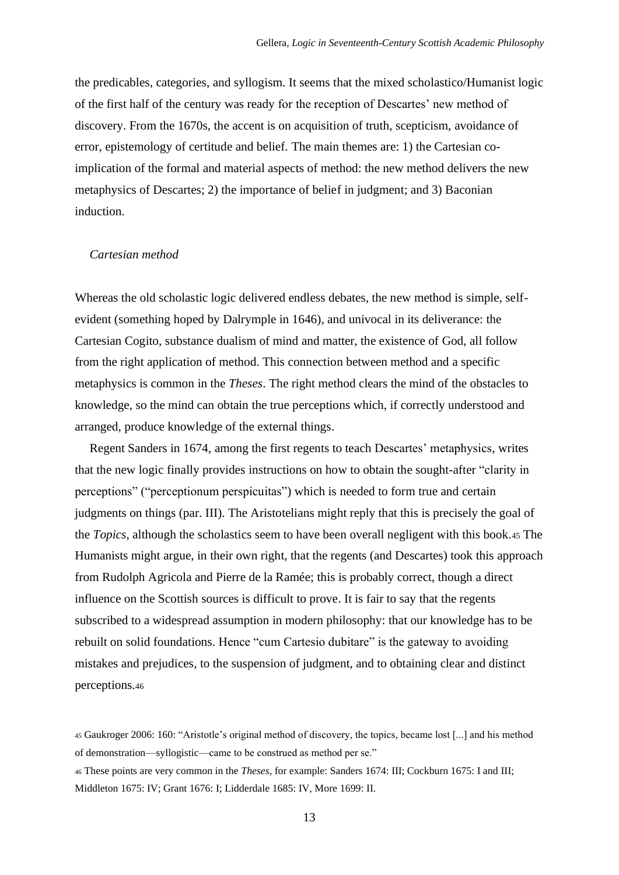the predicables, categories, and syllogism. It seems that the mixed scholastico/Humanist logic of the first half of the century was ready for the reception of Descartes' new method of discovery. From the 1670s, the accent is on acquisition of truth, scepticism, avoidance of error, epistemology of certitude and belief. The main themes are: 1) the Cartesian coimplication of the formal and material aspects of method: the new method delivers the new metaphysics of Descartes; 2) the importance of belief in judgment; and 3) Baconian induction.

## *Cartesian method*

Whereas the old scholastic logic delivered endless debates, the new method is simple, selfevident (something hoped by Dalrymple in 1646), and univocal in its deliverance: the Cartesian Cogito, substance dualism of mind and matter, the existence of God, all follow from the right application of method. This connection between method and a specific metaphysics is common in the *Theses*. The right method clears the mind of the obstacles to knowledge, so the mind can obtain the true perceptions which, if correctly understood and arranged, produce knowledge of the external things.

Regent Sanders in 1674, among the first regents to teach Descartes' metaphysics, writes that the new logic finally provides instructions on how to obtain the sought-after "clarity in perceptions" ("perceptionum perspicuitas") which is needed to form true and certain judgments on things (par. III). The Aristotelians might reply that this is precisely the goal of the *Topics*, although the scholastics seem to have been overall negligent with this book.<sup>45</sup> The Humanists might argue, in their own right, that the regents (and Descartes) took this approach from Rudolph Agricola and Pierre de la Ramée; this is probably correct, though a direct influence on the Scottish sources is difficult to prove. It is fair to say that the regents subscribed to a widespread assumption in modern philosophy: that our knowledge has to be rebuilt on solid foundations. Hence "cum Cartesio dubitare" is the gateway to avoiding mistakes and prejudices, to the suspension of judgment, and to obtaining clear and distinct perceptions.<sup>46</sup>

<sup>45</sup> Gaukroger 2006: 160: "Aristotle's original method of discovery, the topics, became lost [...] and his method of demonstration—syllogistic—came to be construed as method per se."

<sup>46</sup> These points are very common in the *Theses*, for example: Sanders 1674: III; Cockburn 1675: I and III; Middleton 1675: IV; Grant 1676: I; Lidderdale 1685: IV, More 1699: II.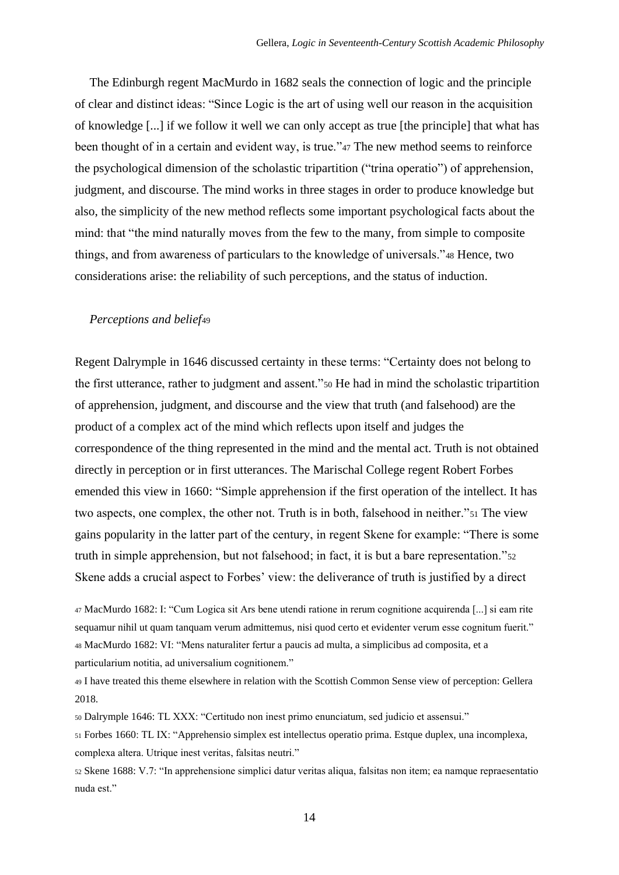The Edinburgh regent MacMurdo in 1682 seals the connection of logic and the principle of clear and distinct ideas: "Since Logic is the art of using well our reason in the acquisition of knowledge [...] if we follow it well we can only accept as true [the principle] that what has been thought of in a certain and evident way, is true."47 The new method seems to reinforce the psychological dimension of the scholastic tripartition ("trina operatio") of apprehension, judgment, and discourse. The mind works in three stages in order to produce knowledge but also, the simplicity of the new method reflects some important psychological facts about the mind: that "the mind naturally moves from the few to the many, from simple to composite things, and from awareness of particulars to the knowledge of universals."<sup>48</sup> Hence, two considerations arise: the reliability of such perceptions, and the status of induction.

## *Perceptions and belief*<sup>49</sup>

Regent Dalrymple in 1646 discussed certainty in these terms: "Certainty does not belong to the first utterance, rather to judgment and assent."<sup>50</sup> He had in mind the scholastic tripartition of apprehension, judgment, and discourse and the view that truth (and falsehood) are the product of a complex act of the mind which reflects upon itself and judges the correspondence of the thing represented in the mind and the mental act. Truth is not obtained directly in perception or in first utterances. The Marischal College regent Robert Forbes emended this view in 1660: "Simple apprehension if the first operation of the intellect. It has two aspects, one complex, the other not. Truth is in both, falsehood in neither."<sup>51</sup> The view gains popularity in the latter part of the century, in regent Skene for example: "There is some truth in simple apprehension, but not falsehood; in fact, it is but a bare representation."<sup>52</sup> Skene adds a crucial aspect to Forbes' view: the deliverance of truth is justified by a direct

<sup>47</sup> MacMurdo 1682: I: "Cum Logica sit Ars bene utendi ratione in rerum cognitione acquirenda [...] si eam rite sequamur nihil ut quam tanquam verum admittemus, nisi quod certo et evidenter verum esse cognitum fuerit." <sup>48</sup> MacMurdo 1682: VI: "Mens naturaliter fertur a paucis ad multa, a simplicibus ad composita, et a particularium notitia, ad universalium cognitionem."

<sup>49</sup> I have treated this theme elsewhere in relation with the Scottish Common Sense view of perception: Gellera 2018.

<sup>50</sup> Dalrymple 1646: TL XXX: "Certitudo non inest primo enunciatum, sed judicio et assensui."

<sup>51</sup> Forbes 1660: TL IX: "Apprehensio simplex est intellectus operatio prima. Estque duplex, una incomplexa, complexa altera. Utrique inest veritas, falsitas neutri."

<sup>52</sup> Skene 1688: V.7: "In apprehensione simplici datur veritas aliqua, falsitas non item; ea namque repraesentatio nuda est."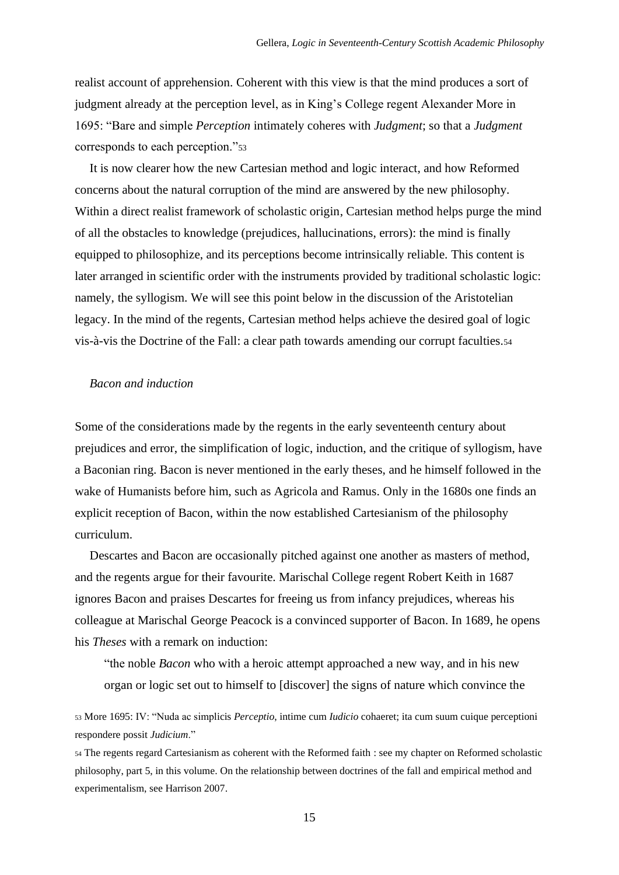realist account of apprehension. Coherent with this view is that the mind produces a sort of judgment already at the perception level, as in King's College regent Alexander More in 1695: "Bare and simple *Perception* intimately coheres with *Judgment*; so that a *Judgment* corresponds to each perception."<sup>53</sup>

It is now clearer how the new Cartesian method and logic interact, and how Reformed concerns about the natural corruption of the mind are answered by the new philosophy. Within a direct realist framework of scholastic origin, Cartesian method helps purge the mind of all the obstacles to knowledge (prejudices, hallucinations, errors): the mind is finally equipped to philosophize, and its perceptions become intrinsically reliable. This content is later arranged in scientific order with the instruments provided by traditional scholastic logic: namely, the syllogism. We will see this point below in the discussion of the Aristotelian legacy. In the mind of the regents, Cartesian method helps achieve the desired goal of logic vis-à-vis the Doctrine of the Fall: a clear path towards amending our corrupt faculties.<sup>54</sup>

## *Bacon and induction*

Some of the considerations made by the regents in the early seventeenth century about prejudices and error, the simplification of logic, induction, and the critique of syllogism, have a Baconian ring. Bacon is never mentioned in the early theses, and he himself followed in the wake of Humanists before him, such as Agricola and Ramus. Only in the 1680s one finds an explicit reception of Bacon, within the now established Cartesianism of the philosophy curriculum.

Descartes and Bacon are occasionally pitched against one another as masters of method, and the regents argue for their favourite. Marischal College regent Robert Keith in 1687 ignores Bacon and praises Descartes for freeing us from infancy prejudices, whereas his colleague at Marischal George Peacock is a convinced supporter of Bacon. In 1689, he opens his *Theses* with a remark on induction:

"the noble *Bacon* who with a heroic attempt approached a new way, and in his new organ or logic set out to himself to [discover] the signs of nature which convince the

<sup>53</sup> More 1695: IV: "Nuda ac simplicis *Perceptio*, intime cum *Iudicio* cohaeret; ita cum suum cuique perceptioni respondere possit *Judicium*."

<sup>54</sup> The regents regard Cartesianism as coherent with the Reformed faith : see my chapter on Reformed scholastic philosophy, part 5, in this volume. On the relationship between doctrines of the fall and empirical method and experimentalism, see Harrison 2007.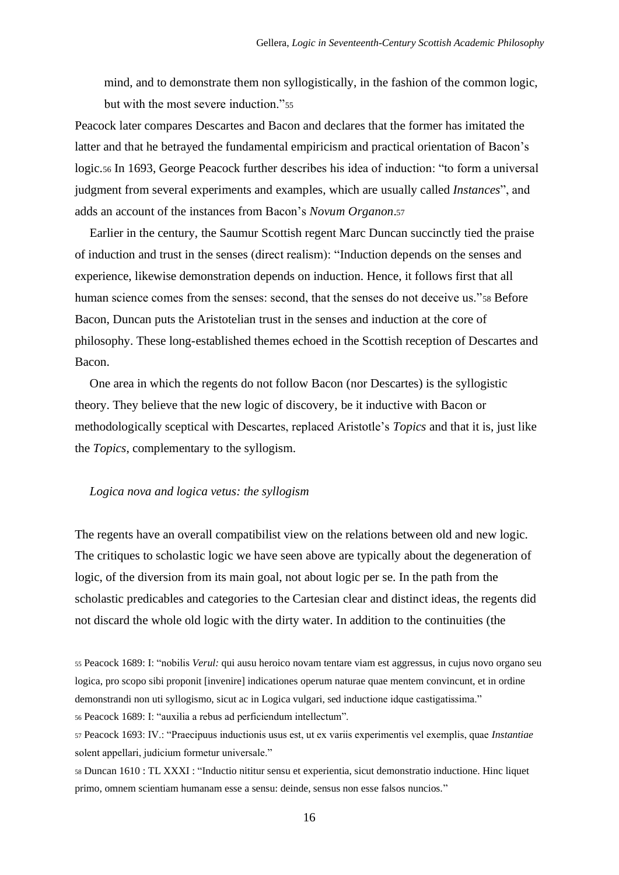mind, and to demonstrate them non syllogistically, in the fashion of the common logic, but with the most severe induction."<sup>55</sup>

Peacock later compares Descartes and Bacon and declares that the former has imitated the latter and that he betrayed the fundamental empiricism and practical orientation of Bacon's logic.<sup>56</sup> In 1693, George Peacock further describes his idea of induction: "to form a universal judgment from several experiments and examples, which are usually called *Instances*", and adds an account of the instances from Bacon's *Novum Organon*.<sup>57</sup>

Earlier in the century, the Saumur Scottish regent Marc Duncan succinctly tied the praise of induction and trust in the senses (direct realism): "Induction depends on the senses and experience, likewise demonstration depends on induction. Hence, it follows first that all human science comes from the senses: second, that the senses do not deceive us."<sup>58</sup> Before Bacon, Duncan puts the Aristotelian trust in the senses and induction at the core of philosophy. These long-established themes echoed in the Scottish reception of Descartes and Bacon.

One area in which the regents do not follow Bacon (nor Descartes) is the syllogistic theory. They believe that the new logic of discovery, be it inductive with Bacon or methodologically sceptical with Descartes, replaced Aristotle's *Topics* and that it is, just like the *Topics*, complementary to the syllogism.

#### *Logica nova and logica vetus: the syllogism*

The regents have an overall compatibilist view on the relations between old and new logic. The critiques to scholastic logic we have seen above are typically about the degeneration of logic, of the diversion from its main goal, not about logic per se. In the path from the scholastic predicables and categories to the Cartesian clear and distinct ideas, the regents did not discard the whole old logic with the dirty water. In addition to the continuities (the

<sup>55</sup> Peacock 1689: I: "nobilis *Verul:* qui ausu heroico novam tentare viam est aggressus, in cujus novo organo seu logica, pro scopo sibi proponit [invenire] indicationes operum naturae quae mentem convincunt, et in ordine demonstrandi non uti syllogismo, sicut ac in Logica vulgari, sed inductione idque castigatissima." <sup>56</sup> Peacock 1689: I: "auxilia a rebus ad perficiendum intellectum".

<sup>57</sup> Peacock 1693: IV.: "Praecipuus inductionis usus est, ut ex variis experimentis vel exemplis, quae *Instantiae*  solent appellari, judicium formetur universale."

<sup>58</sup> Duncan 1610 : TL XXXI : "Inductio nititur sensu et experientia, sicut demonstratio inductione. Hinc liquet primo, omnem scientiam humanam esse a sensu: deinde, sensus non esse falsos nuncios."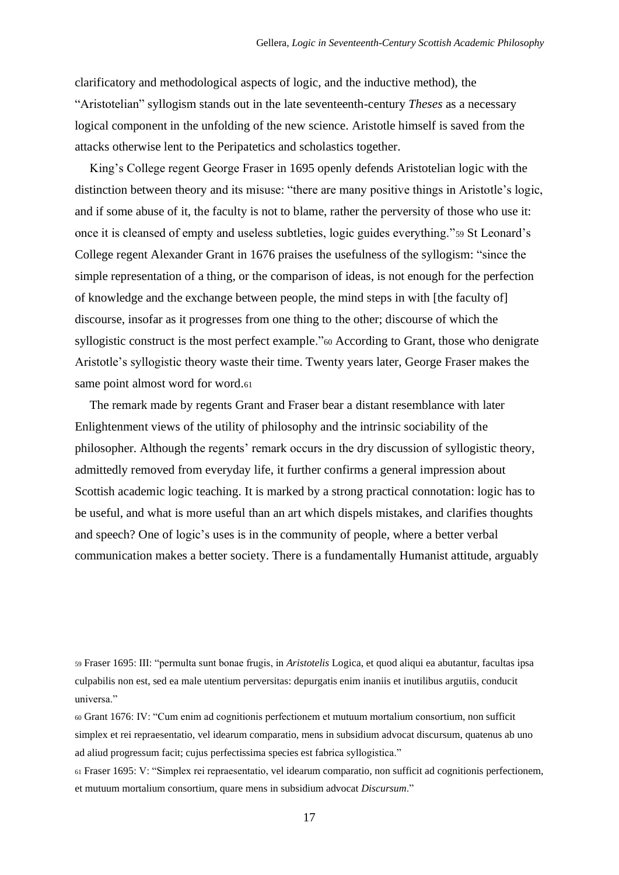clarificatory and methodological aspects of logic, and the inductive method), the "Aristotelian" syllogism stands out in the late seventeenth-century *Theses* as a necessary logical component in the unfolding of the new science. Aristotle himself is saved from the attacks otherwise lent to the Peripatetics and scholastics together.

King's College regent George Fraser in 1695 openly defends Aristotelian logic with the distinction between theory and its misuse: "there are many positive things in Aristotle's logic, and if some abuse of it, the faculty is not to blame, rather the perversity of those who use it: once it is cleansed of empty and useless subtleties, logic guides everything."<sup>59</sup> St Leonard's College regent Alexander Grant in 1676 praises the usefulness of the syllogism: "since the simple representation of a thing, or the comparison of ideas, is not enough for the perfection of knowledge and the exchange between people, the mind steps in with [the faculty of] discourse, insofar as it progresses from one thing to the other; discourse of which the syllogistic construct is the most perfect example."<sup>60</sup> According to Grant, those who denigrate Aristotle's syllogistic theory waste their time. Twenty years later, George Fraser makes the same point almost word for word.<sup>61</sup>

The remark made by regents Grant and Fraser bear a distant resemblance with later Enlightenment views of the utility of philosophy and the intrinsic sociability of the philosopher. Although the regents' remark occurs in the dry discussion of syllogistic theory, admittedly removed from everyday life, it further confirms a general impression about Scottish academic logic teaching. It is marked by a strong practical connotation: logic has to be useful, and what is more useful than an art which dispels mistakes, and clarifies thoughts and speech? One of logic's uses is in the community of people, where a better verbal communication makes a better society. There is a fundamentally Humanist attitude, arguably

<sup>59</sup> Fraser 1695: III: "permulta sunt bonae frugis, in *Aristotelis* Logica, et quod aliqui ea abutantur, facultas ipsa culpabilis non est, sed ea male utentium perversitas: depurgatis enim inaniis et inutilibus argutiis, conducit universa."

<sup>60</sup> Grant 1676: IV: "Cum enim ad cognitionis perfectionem et mutuum mortalium consortium, non sufficit simplex et rei repraesentatio, vel idearum comparatio, mens in subsidium advocat discursum, quatenus ab uno ad aliud progressum facit; cujus perfectissima species est fabrica syllogistica."

<sup>61</sup> Fraser 1695: V: "Simplex rei repraesentatio, vel idearum comparatio, non sufficit ad cognitionis perfectionem, et mutuum mortalium consortium, quare mens in subsidium advocat *Discursum*."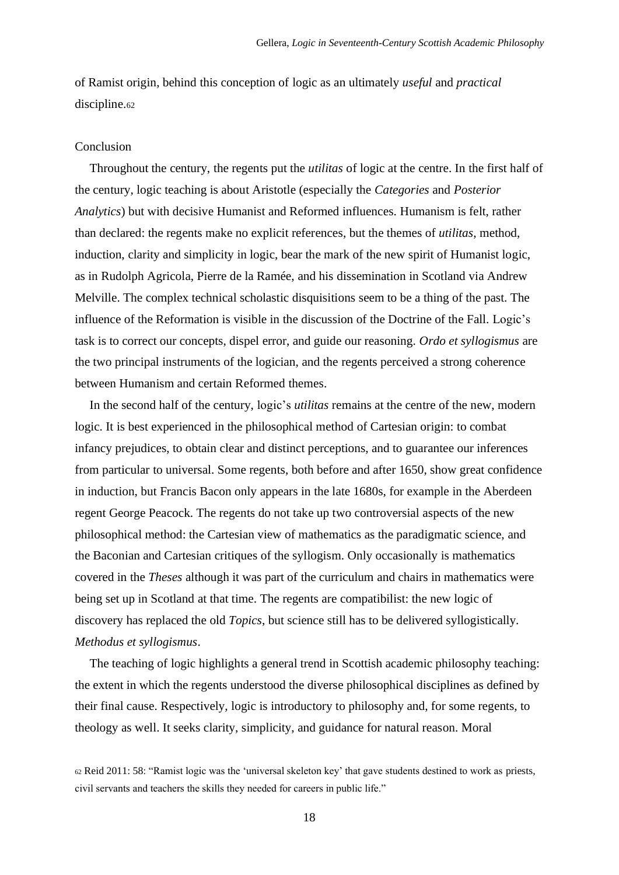of Ramist origin, behind this conception of logic as an ultimately *useful* and *practical*  discipline.<sup>62</sup>

## Conclusion

Throughout the century, the regents put the *utilitas* of logic at the centre. In the first half of the century, logic teaching is about Aristotle (especially the *Categories* and *Posterior Analytics*) but with decisive Humanist and Reformed influences. Humanism is felt, rather than declared: the regents make no explicit references, but the themes of *utilitas*, method, induction, clarity and simplicity in logic, bear the mark of the new spirit of Humanist logic, as in Rudolph Agricola, Pierre de la Ramée, and his dissemination in Scotland via Andrew Melville. The complex technical scholastic disquisitions seem to be a thing of the past. The influence of the Reformation is visible in the discussion of the Doctrine of the Fall. Logic's task is to correct our concepts, dispel error, and guide our reasoning. *Ordo et syllogismus* are the two principal instruments of the logician, and the regents perceived a strong coherence between Humanism and certain Reformed themes.

In the second half of the century, logic's *utilitas* remains at the centre of the new, modern logic. It is best experienced in the philosophical method of Cartesian origin: to combat infancy prejudices, to obtain clear and distinct perceptions, and to guarantee our inferences from particular to universal. Some regents, both before and after 1650, show great confidence in induction, but Francis Bacon only appears in the late 1680s, for example in the Aberdeen regent George Peacock. The regents do not take up two controversial aspects of the new philosophical method: the Cartesian view of mathematics as the paradigmatic science, and the Baconian and Cartesian critiques of the syllogism. Only occasionally is mathematics covered in the *Theses* although it was part of the curriculum and chairs in mathematics were being set up in Scotland at that time. The regents are compatibilist: the new logic of discovery has replaced the old *Topics*, but science still has to be delivered syllogistically. *Methodus et syllogismus*.

The teaching of logic highlights a general trend in Scottish academic philosophy teaching: the extent in which the regents understood the diverse philosophical disciplines as defined by their final cause. Respectively, logic is introductory to philosophy and, for some regents, to theology as well. It seeks clarity, simplicity, and guidance for natural reason. Moral

<sup>62</sup> Reid 2011: 58: "Ramist logic was the 'universal skeleton key' that gave students destined to work as priests, civil servants and teachers the skills they needed for careers in public life."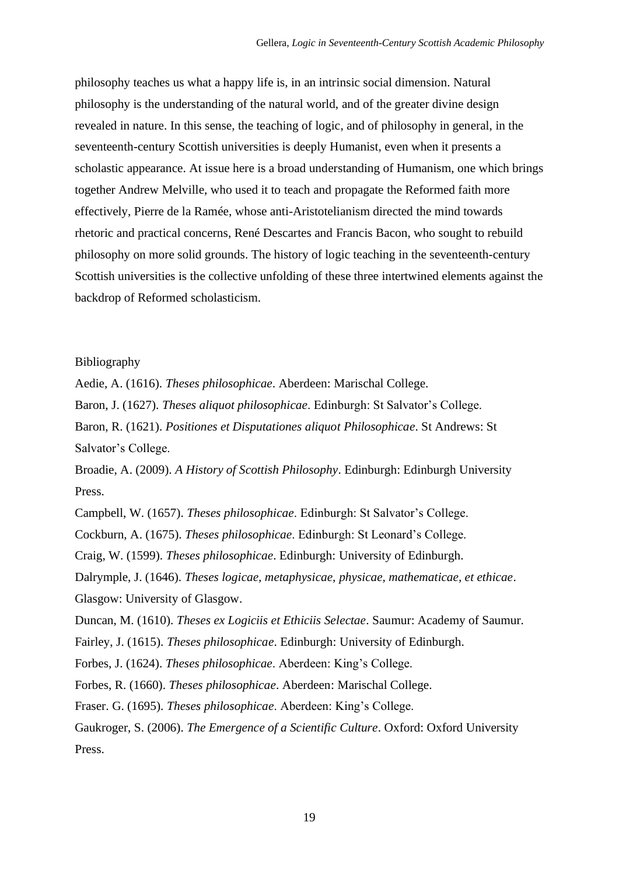philosophy teaches us what a happy life is, in an intrinsic social dimension. Natural philosophy is the understanding of the natural world, and of the greater divine design revealed in nature. In this sense, the teaching of logic, and of philosophy in general, in the seventeenth-century Scottish universities is deeply Humanist, even when it presents a scholastic appearance. At issue here is a broad understanding of Humanism, one which brings together Andrew Melville, who used it to teach and propagate the Reformed faith more effectively, Pierre de la Ramée, whose anti-Aristotelianism directed the mind towards rhetoric and practical concerns, René Descartes and Francis Bacon, who sought to rebuild philosophy on more solid grounds. The history of logic teaching in the seventeenth-century Scottish universities is the collective unfolding of these three intertwined elements against the backdrop of Reformed scholasticism.

### Bibliography

Aedie, A. (1616). *Theses philosophicae*. Aberdeen: Marischal College.

Baron, J. (1627). *Theses aliquot philosophicae*. Edinburgh: St Salvator's College.

Baron, R. (1621). *Positiones et Disputationes aliquot Philosophicae*. St Andrews: St Salvator's College.

Broadie, A. (2009). *A History of Scottish Philosophy*. Edinburgh: Edinburgh University Press.

Campbell, W. (1657). *Theses philosophicae*. Edinburgh: St Salvator's College.

Cockburn, A. (1675). *Theses philosophicae*. Edinburgh: St Leonard's College.

Craig, W. (1599). *Theses philosophicae*. Edinburgh: University of Edinburgh.

Dalrymple, J. (1646). *Theses logicae, metaphysicae, physicae, mathematicae, et ethicae*. Glasgow: University of Glasgow.

Duncan, M. (1610). *Theses ex Logiciis et Ethiciis Selectae*. Saumur: Academy of Saumur.

Fairley, J. (1615). *Theses philosophicae*. Edinburgh: University of Edinburgh.

Forbes, J. (1624). *Theses philosophicae*. Aberdeen: King's College.

Forbes, R. (1660). *Theses philosophicae*. Aberdeen: Marischal College.

Fraser. G. (1695). *Theses philosophicae*. Aberdeen: King's College.

Gaukroger, S. (2006). *The Emergence of a Scientific Culture*. Oxford: Oxford University Press.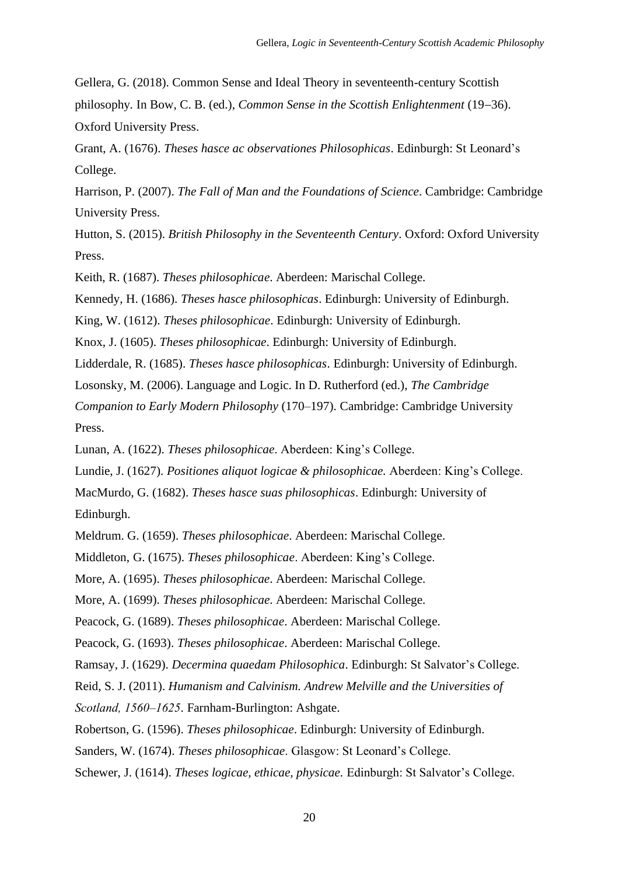Gellera, G. (2018). Common Sense and Ideal Theory in seventeenth-century Scottish philosophy*.* In Bow, C. B. (ed.), *Common Sense in the Scottish Enlightenment* (19−36). Oxford University Press.

Grant, A. (1676). *Theses hasce ac observationes Philosophicas*. Edinburgh: St Leonard's College.

Harrison, P. (2007). *The Fall of Man and the Foundations of Science*. Cambridge: Cambridge University Press.

Hutton, S. (2015). *British Philosophy in the Seventeenth Century*. Oxford: Oxford University Press.

Keith, R. (1687). *Theses philosophicae*. Aberdeen: Marischal College.

Kennedy, H. (1686). *Theses hasce philosophicas*. Edinburgh: University of Edinburgh.

King, W. (1612). *Theses philosophicae*. Edinburgh: University of Edinburgh.

Knox, J. (1605). *Theses philosophicae*. Edinburgh: University of Edinburgh.

Lidderdale, R. (1685). *Theses hasce philosophicas*. Edinburgh: University of Edinburgh.

Losonsky, M. (2006). Language and Logic. In D. Rutherford (ed.), *The Cambridge* 

*Companion to Early Modern Philosophy* (170–197). Cambridge: Cambridge University Press.

Lunan, A. (1622). *Theses philosophicae*. Aberdeen: King's College.

Lundie, J. (1627). *Positiones aliquot logicae & philosophicae.* Aberdeen: King's College.

MacMurdo, G. (1682). *Theses hasce suas philosophicas*. Edinburgh: University of Edinburgh.

Meldrum. G. (1659). *Theses philosophicae*. Aberdeen: Marischal College.

Middleton, G. (1675). *Theses philosophicae*. Aberdeen: King's College.

More, A. (1695). *Theses philosophicae*. Aberdeen: Marischal College.

More, A. (1699). *Theses philosophicae*. Aberdeen: Marischal College.

Peacock, G. (1689). *Theses philosophicae*. Aberdeen: Marischal College.

Peacock, G. (1693). *Theses philosophicae*. Aberdeen: Marischal College.

Ramsay, J. (1629). *Decermina quaedam Philosophica*. Edinburgh: St Salvator's College.

Reid, S. J. (2011). *Humanism and Calvinism. Andrew Melville and the Universities of* 

*Scotland, 1560‒1625*. Farnham-Burlington: Ashgate.

Robertson, G. (1596). *Theses philosophicae*. Edinburgh: University of Edinburgh.

Sanders, W. (1674). *Theses philosophicae*. Glasgow: St Leonard's College.

Schewer, J. (1614). *Theses logicae, ethicae, physicae.* Edinburgh: St Salvator's College.